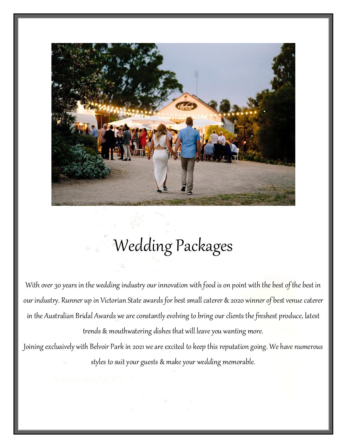

# Wedding Packages

With over 30 years in the wedding industry our innovation with food is on point with the best of the best in our industry. Runner up in Victorian State awards for best small caterer & 2020 winner of best venue caterer in the Australian Bridal Awards we are constantly evolving to bring our clients the freshest produce, latest trends & mouthwatering dishes that will leave you wanting more.

Joining exclusively with Belvoir Park in 2021 we are excited to keep this reputation going. We have numerous styles to suit your guests & make your wedding memorable.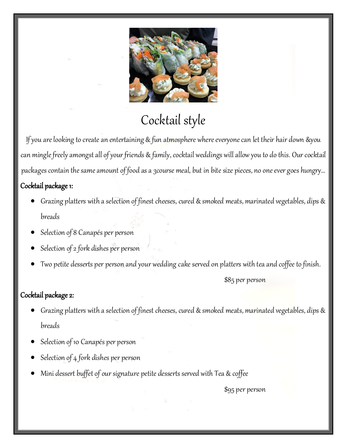

### Cocktail style

If you are looking to create an entertaining & fun atmosphere where everyone can let their hair down &you can mingle freely amongst all of your friends & family, cocktail weddings will allow you to do this. Our cocktail packages contain the same amount of food as a 3course meal, but in bite size pieces, no one ever goes hungry…

### Cocktail package 1:

- Grazing platters with a selection of finest cheeses, cured & smoked meats, marinated vegetables, dips & breads
- Selection of 8 Canapés per person
- Selection of 2 fork dishes per person
- Two petite desserts per person and your wedding cake served on platters with tea and coffee to finish.

### \$85 per person

### Cocktail package 2:

- Grazing platters with a selection of finest cheeses, cured & smoked meats, marinated vegetables, dips & breads
- Selection of 10 Canapés per person
- Selection of 4 fork dishes per person
- Mini dessert buffet of our signature petite desserts served with Tea & coffee

\$95 per person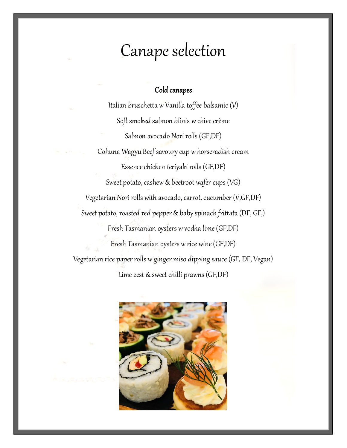# Canape selection

### Cold canapes

Italian bruschetta w Vanilla toffee balsamic (V) Soft smoked salmon blinis w chive crème Salmon avocado Nori rolls (GF,DF) Cohuna Wagyu Beef savoury cup w horseradish cream Essence chicken teriyaki rolls (GF,DF) Sweet potato, cashew & beetroot wafer cups (VG) Vegetarian Nori rolls with avocado, carrot, cucumber (V,GF,DF) Sweet potato, roasted red pepper & baby spinach frittata (DF, GF,) Fresh Tasmanian oysters w vodka lime (GF,DF) Fresh Tasmanian oysters w rice wine (GF,DF) Vegetarian rice paper rolls w ginger miso dipping sauce (GF, DF, Vegan) Lime zest & sweet chilli prawns (GF,DF)

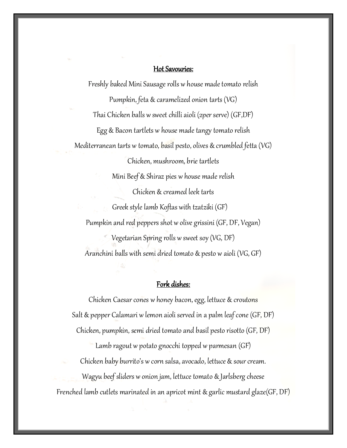#### Hot Savouries:

Freshly baked Mini Sausage rolls w house made tomato relish Pumpkin, feta & caramelized onion tarts (VG) Thai Chicken balls w sweet chilli aioli (2per serve) (GF,DF) Egg & Bacon tartlets w house made tangy tomato relish Mediterranean tarts w tomato, basil pesto, olives & crumbled fetta (VG) Chicken, mushroom, brie tartlets Mini Beef & Shiraz pies w house made relish Chicken & creamed leek tarts Greek style lamb Koftas with tzatziki (GF) Pumpkin and red peppers shot w olive grissini (GF, DF, Vegan) Vegetarian Spring rolls w sweet soy (VG, DF) Aranchini balls with semi dried tomato & pesto w aioli (VG, GF)

#### Fork dishes:

Chicken Caesar cones w honey bacon, egg, lettuce & croutons Salt & pepper Calamari w lemon aioli served in a palm leaf cone (GF, DF) Chicken, pumpkin, semi dried tomato and basil pesto risotto (GF, DF)

Lamb ragout w potato gnocchi topped w parmesan (GF)

Chicken baby burrito's w corn salsa, avocado, lettuce & sour cream.

Wagyu beef sliders w onion jam, lettuce tomato & Jarlsberg cheese Frenched lamb cutlets marinated in an apricot mint & garlic mustard glaze(GF, DF)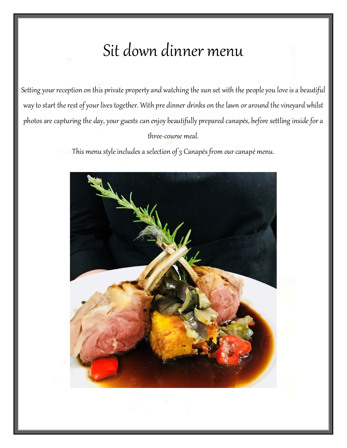# Sit down dinner menu

Setting your reception on this private property and watching the sun set with the people you love is a beautiful way to start the rest of your lives together. With pre dinner drinks on the lawn or around the vineyard whilst photos are capturing the day, your guests can enjoy beautifully prepared canapés, before settling inside for a three-course meal.

This menu style includes a selection of 3 Canapés from our canapé menu.

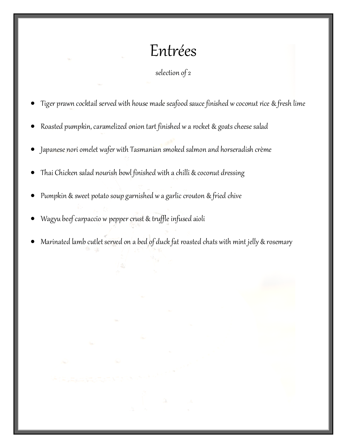## Entrées

selection of 2

- Tiger prawn cocktail served with house made seafood sauce finished w coconut rice & fresh lime
- Roasted pumpkin, caramelized onion tart finished w a rocket & goats cheese salad
- Japanese nori omelet wafer with Tasmanian smoked salmon and horseradish crème
- Thai Chicken salad nourish bowl finished with a chilli & coconut dressing
- Pumpkin & sweet potato soup garnished w a garlic crouton & fried chive
- Wagyu beef carpaccio w pepper crust & truffle infused aioli
- Marinated lamb cutlet served on a bed of duck fat roasted chats with mint jelly & rosemary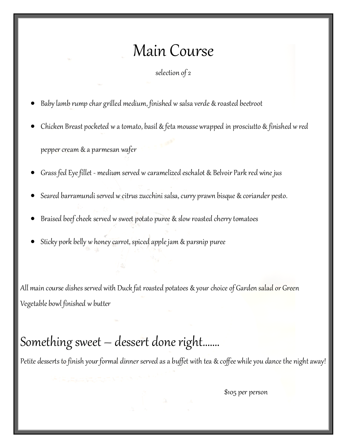# Main Course

selection of 2

• Baby lamb rump char grilled medium, finished w salsa verde & roasted beetroot

• Chicken Breast pocketed w a tomato, basil & feta mousse wrapped in prosciutto & finished w red pepper cream & a parmesan wafer

- Grass fed Eye fillet medium served w caramelized eschalot & Belvoir Park red wine jus
- Seared barramundi served w citrus zucchini salsa, curry prawn bisque & coriander pesto.
- Braised beef cheek served w sweet potato puree & slow roasted cherry tomatoes
- Sticky pork belly w honey carrot, spiced apple jam & parsnip puree

All main course dishes served with Duck fat roasted potatoes & your choice of Garden salad or Green Vegetable bowl finished w butter

### Something sweet – dessert done right…….

Petite desserts to finish your formal dinner served as a buffet with tea & coffee while you dance the night away!

\$105 per person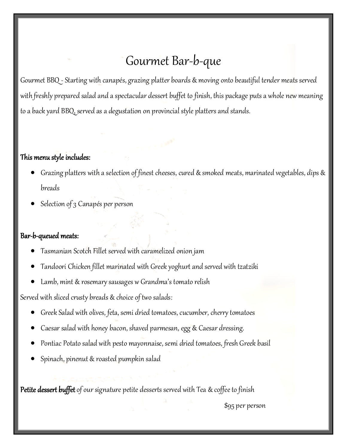### Gourmet Bar-b-que

Gourmet BBQ -Starting with canapés, grazing platter boards & moving onto beautiful tender meats served with freshly prepared salad and a spectacular dessert buffet to finish, this package puts a whole new meaning to a back yard BBQ, served as a degustation on provincial style platters and stands.

#### This menu style includes:

- Grazing platters with a selection of finest cheeses, cured & smoked meats, marinated vegetables, dips & breads
- Selection of 3 Canapés per person

#### Bar-b-queued meats:

- Tasmanian Scotch Fillet served with caramelized onion jam
- Tandoori Chicken fillet marinated with Greek yoghurt and served with tzatziki
- Lamb, mint & rosemary sausages w Grandma's tomato relish

Served with sliced crusty breads & choice of two salads:

- Greek Salad with olives, feta, semi dried tomatoes, cucumber, cherry tomatoes
- Caesar salad with honey bacon, shaved parmesan, egg & Caesar dressing.
- Pontiac Potato salad with pesto mayonnaise, semi dried tomatoes, fresh Greek basil
- Spinach, pinenut & roasted pumpkin salad

Petite dessert buffet of our signature petite desserts served with Tea & coffee to finish

\$95 per person